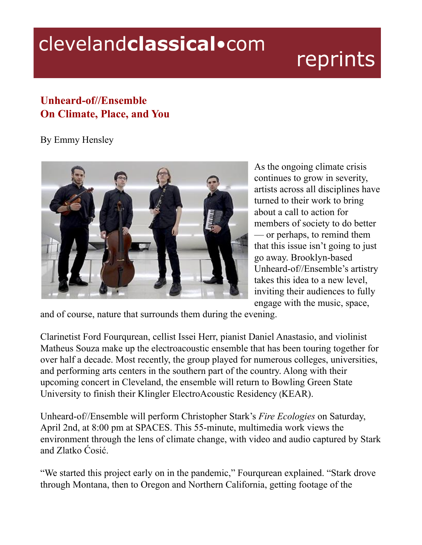## clevelandclassical.com

## reprints

## **Unheard-of//Ensemble On Climate, Place, and You**

By Emmy Hensley



As the ongoing climate crisis continues to grow in severity, artists across all disciplines have turned to their work to bring about a call to action for members of society to do better — or perhaps, to remind them that this issue isn't going to just go away. Brooklyn-based Unheard-of//Ensemble's artistry takes this idea to a new level, inviting their audiences to fully engage with the music, space,

and of course, nature that surrounds them during the evening.

Clarinetist Ford Fourqurean, cellist Issei Herr, pianist Daniel Anastasio, and violinist Matheus Souza make up the electroacoustic ensemble that has been touring together for over half a decade. Most recently, the group played for numerous colleges, universities, and performing arts centers in the southern part of the country. Along with their upcoming concert in Cleveland, the ensemble will return to Bowling Green State University to finish their Klingler ElectroAcoustic Residency (KEAR).

Unheard-of//Ensemble will perform Christopher Stark's *Fire Ecologies* on Saturday, April 2nd, at 8:00 pm at SPACES. This 55-minute, multimedia work views the environment through the lens of climate change, with video and audio captured by Stark and Zlatko Ćosić.

"We started this project early on in the pandemic," Fourqurean explained. "Stark drove through Montana, then to Oregon and Northern California, getting footage of the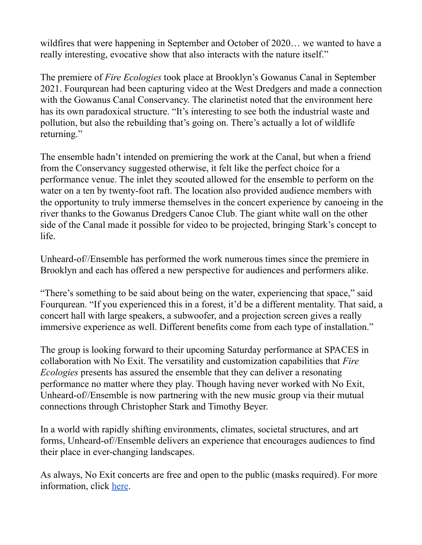wildfires that were happening in September and October of 2020… we wanted to have a really interesting, evocative show that also interacts with the nature itself."

The premiere of *Fire Ecologies* took place at Brooklyn's Gowanus Canal in September 2021. Fourqurean had been capturing video at the West Dredgers and made a connection with the Gowanus Canal Conservancy. The clarinetist noted that the environment here has its own paradoxical structure. "It's interesting to see both the industrial waste and pollution, but also the rebuilding that's going on. There's actually a lot of wildlife returning."

The ensemble hadn't intended on premiering the work at the Canal, but when a friend from the Conservancy suggested otherwise, it felt like the perfect choice for a performance venue. The inlet they scouted allowed for the ensemble to perform on the water on a ten by twenty-foot raft. The location also provided audience members with the opportunity to truly immerse themselves in the concert experience by canoeing in the river thanks to the Gowanus Dredgers Canoe Club. The giant white wall on the other side of the Canal made it possible for video to be projected, bringing Stark's concept to life.

Unheard-of//Ensemble has performed the work numerous times since the premiere in Brooklyn and each has offered a new perspective for audiences and performers alike.

"There's something to be said about being on the water, experiencing that space," said Fourqurean. "If you experienced this in a forest, it'd be a different mentality. That said, a concert hall with large speakers, a subwoofer, and a projection screen gives a really immersive experience as well. Different benefits come from each type of installation."

The group is looking forward to their upcoming Saturday performance at SPACES in collaboration with No Exit. The versatility and customization capabilities that *Fire Ecologies* presents has assured the ensemble that they can deliver a resonating performance no matter where they play. Though having never worked with No Exit, Unheard-of//Ensemble is now partnering with the new music group via their mutual connections through Christopher Stark and Timothy Beyer.

In a world with rapidly shifting environments, climates, societal structures, and art forms, Unheard-of//Ensemble delivers an experience that encourages audiences to find their place in ever-changing landscapes.

As always, No Exit concerts are free and open to the public (masks required). For more information, click [here](https://noexitnewmusic.com/?upcoming_events=no-exit-presents-the-unheard-of-ensemble).